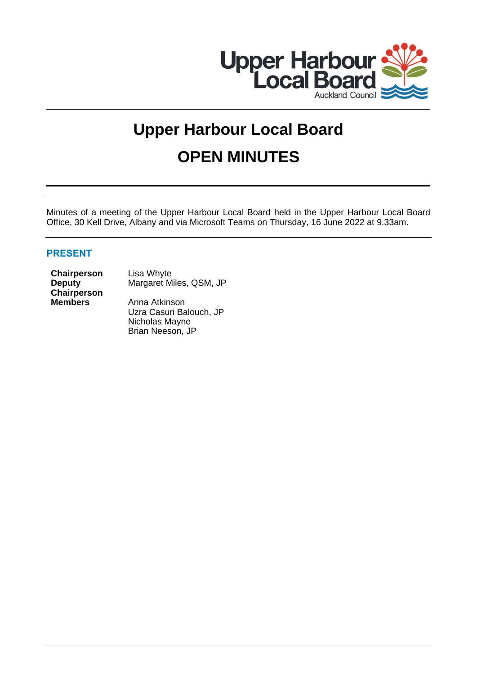

# **Upper Harbour Local Board OPEN MINUTES**

Minutes of a meeting of the Upper Harbour Local Board held in the Upper Harbour Local Board Office, 30 Kell Drive, Albany and via Microsoft Teams on Thursday, 16 June 2022 at 9.33am.

# **PRESENT**

**Chairperson** Lisa Whyte **Deputy Chairperson**

Margaret Miles, QSM, JP

**Members** Anna Atkinson Uzra Casuri Balouch, JP Nicholas Mayne Brian Neeson, JP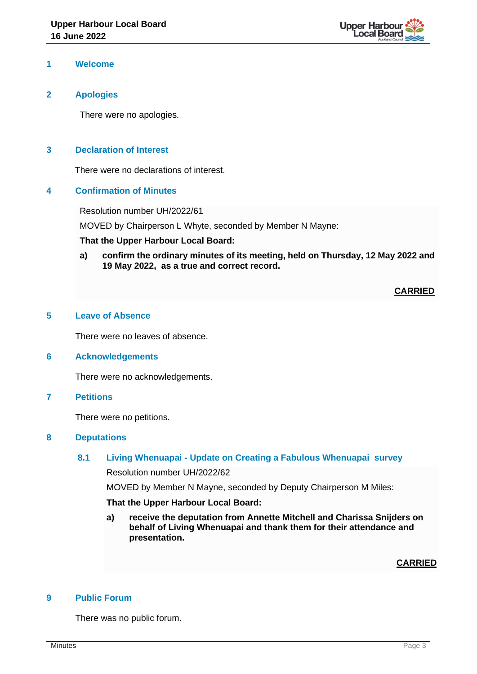

### **1 Welcome**

# **2 Apologies**

There were no apologies.

# **3 Declaration of Interest**

There were no declarations of interest.

### **4 Confirmation of Minutes**

Resolution number UH/2022/61

MOVED by Chairperson L Whyte, seconded by Member N Mayne:

#### **That the Upper Harbour Local Board:**

**a) confirm the ordinary minutes of its meeting, held on Thursday, 12 May 2022 and 19 May 2022, as a true and correct record.**

### **CARRIED**

# **5 Leave of Absence**

There were no leaves of absence.

## **6 Acknowledgements**

There were no acknowledgements.

**7 Petitions**

There were no petitions.

### **8 Deputations**

# **8.1 Living Whenuapai - Update on Creating a Fabulous Whenuapai survey**

Resolution number UH/2022/62

MOVED by Member N Mayne, seconded by Deputy Chairperson M Miles:

#### **That the Upper Harbour Local Board:**

**a) receive the deputation from Annette Mitchell and Charissa Snijders on behalf of Living Whenuapai and thank them for their attendance and presentation.**

**CARRIED**

#### **9 Public Forum**

There was no public forum.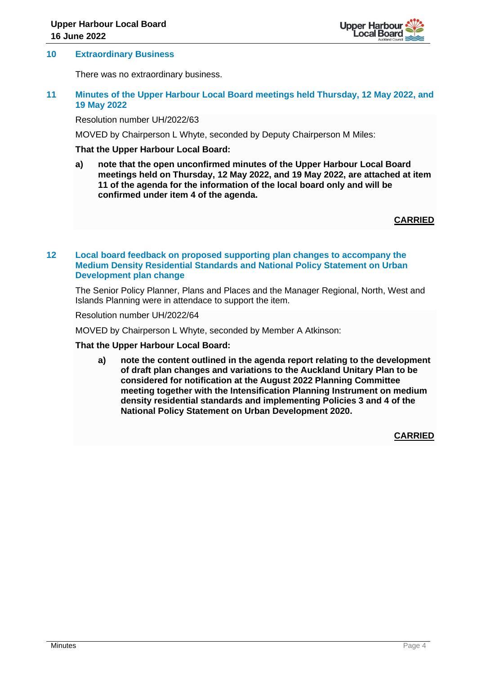

#### **10 Extraordinary Business**

There was no extraordinary business.

# **11 Minutes of the Upper Harbour Local Board meetings held Thursday, 12 May 2022, and 19 May 2022**

Resolution number UH/2022/63

MOVED by Chairperson L Whyte, seconded by Deputy Chairperson M Miles:

# **That the Upper Harbour Local Board:**

**a) note that the open unconfirmed minutes of the Upper Harbour Local Board meetings held on Thursday, 12 May 2022, and 19 May 2022, are attached at item 11 of the agenda for the information of the local board only and will be confirmed under item 4 of the agenda.**

**CARRIED**

## **12 Local board feedback on proposed supporting plan changes to accompany the Medium Density Residential Standards and National Policy Statement on Urban Development plan change**

The Senior Policy Planner, Plans and Places and the Manager Regional, North, West and Islands Planning were in attendace to support the item.

Resolution number UH/2022/64

MOVED by Chairperson L Whyte, seconded by Member A Atkinson:

#### **That the Upper Harbour Local Board:**

**a) note the content outlined in the agenda report relating to the development of draft plan changes and variations to the Auckland Unitary Plan to be considered for notification at the August 2022 Planning Committee meeting together with the Intensification Planning Instrument on medium density residential standards and implementing Policies 3 and 4 of the National Policy Statement on Urban Development 2020.**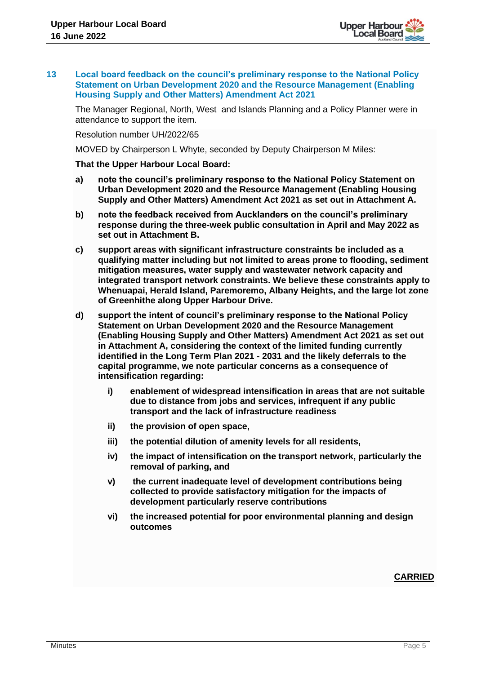

#### **13 Local board feedback on the council's preliminary response to the National Policy Statement on Urban Development 2020 and the Resource Management (Enabling Housing Supply and Other Matters) Amendment Act 2021**

The Manager Regional, North, West and Islands Planning and a Policy Planner were in attendance to support the item.

Resolution number UH/2022/65

MOVED by Chairperson L Whyte, seconded by Deputy Chairperson M Miles:

#### **That the Upper Harbour Local Board:**

- **a) note the council's preliminary response to the National Policy Statement on Urban Development 2020 and the Resource Management (Enabling Housing Supply and Other Matters) Amendment Act 2021 as set out in Attachment A.**
- **b) note the feedback received from Aucklanders on the council's preliminary response during the three-week public consultation in April and May 2022 as set out in Attachment B.**
- **c) support areas with significant infrastructure constraints be included as a qualifying matter including but not limited to areas prone to flooding, sediment mitigation measures, water supply and wastewater network capacity and integrated transport network constraints. We believe these constraints apply to Whenuapai, Herald Island, Paremoremo, Albany Heights, and the large lot zone of Greenhithe along Upper Harbour Drive.**
- **d) support the intent of council's preliminary response to the National Policy Statement on Urban Development 2020 and the Resource Management (Enabling Housing Supply and Other Matters) Amendment Act 2021 as set out in Attachment A, considering the context of the limited funding currently identified in the Long Term Plan 2021 - 2031 and the likely deferrals to the capital programme, we note particular concerns as a consequence of intensification regarding:**
	- **i) enablement of widespread intensification in areas that are not suitable due to distance from jobs and services, infrequent if any public transport and the lack of infrastructure readiness**
	- **ii) the provision of open space,**
	- **iii) the potential dilution of amenity levels for all residents,**
	- **iv) the impact of intensification on the transport network, particularly the removal of parking, and**
	- **v) the current inadequate level of development contributions being collected to provide satisfactory mitigation for the impacts of development particularly reserve contributions**
	- **vi) the increased potential for poor environmental planning and design outcomes**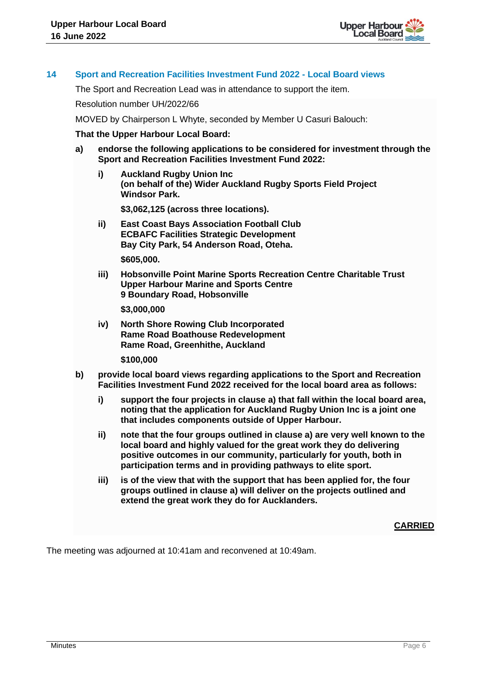

#### **14 Sport and Recreation Facilities Investment Fund 2022 - Local Board views**

The Sport and Recreation Lead was in attendance to support the item.

Resolution number UH/2022/66

MOVED by Chairperson L Whyte, seconded by Member U Casuri Balouch:

#### **That the Upper Harbour Local Board:**

- **a) endorse the following applications to be considered for investment through the Sport and Recreation Facilities Investment Fund 2022:**
	- **i) Auckland Rugby Union Inc (on behalf of the) Wider Auckland Rugby Sports Field Project Windsor Park.**

**\$3,062,125 (across three locations).**

- **ii) East Coast Bays Association Football Club ECBAFC Facilities Strategic Development Bay City Park, 54 Anderson Road, Oteha. \$605,000.**
- **iii) Hobsonville Point Marine Sports Recreation Centre Charitable Trust Upper Harbour Marine and Sports Centre 9 Boundary Road, Hobsonville**

**\$3,000,000**

**iv) North Shore Rowing Club Incorporated Rame Road Boathouse Redevelopment Rame Road, Greenhithe, Auckland**

**\$100,000**

- **b) provide local board views regarding applications to the Sport and Recreation Facilities Investment Fund 2022 received for the local board area as follows:**
	- **i) support the four projects in clause a) that fall within the local board area, noting that the application for Auckland Rugby Union Inc is a joint one that includes components outside of Upper Harbour.**
	- **ii) note that the four groups outlined in clause a) are very well known to the local board and highly valued for the great work they do delivering positive outcomes in our community, particularly for youth, both in participation terms and in providing pathways to elite sport.**
	- **iii) is of the view that with the support that has been applied for, the four groups outlined in clause a) will deliver on the projects outlined and extend the great work they do for Aucklanders.**

**CARRIED**

The meeting was adjourned at 10:41am and reconvened at 10:49am.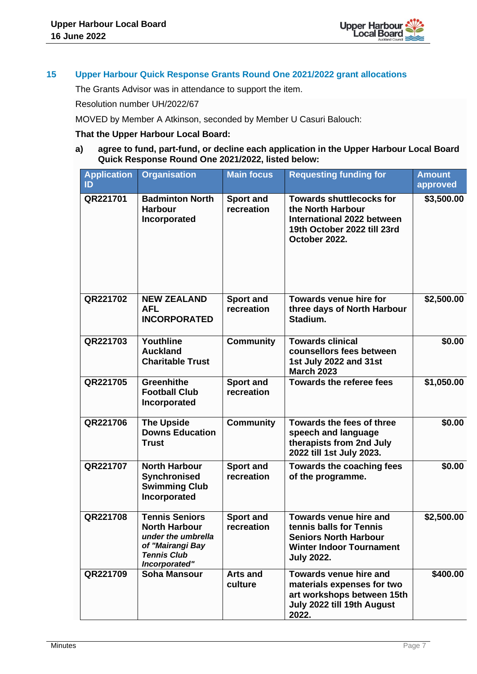

# **15 Upper Harbour Quick Response Grants Round One 2021/2022 grant allocations**

The Grants Advisor was in attendance to support the item.

Resolution number UH/2022/67

MOVED by Member A Atkinson, seconded by Member U Casuri Balouch:

### **That the Upper Harbour Local Board:**

**a) agree to fund, part-fund, or decline each application in the Upper Harbour Local Board Quick Response Round One 2021/2022, listed below:**

| <b>Application</b><br>ID | <b>Organisation</b>                                                                                                            | <b>Main focus</b>              | <b>Requesting funding for</b>                                                                                                                    | <b>Amount</b><br>approved |
|--------------------------|--------------------------------------------------------------------------------------------------------------------------------|--------------------------------|--------------------------------------------------------------------------------------------------------------------------------------------------|---------------------------|
| QR221701                 | <b>Badminton North</b><br><b>Harbour</b><br>Incorporated                                                                       | <b>Sport and</b><br>recreation | <b>Towards shuttlecocks for</b><br>the North Harbour<br>International 2022 between<br>19th October 2022 till 23rd<br>October 2022.               | \$3,500.00                |
| QR221702                 | <b>NEW ZEALAND</b><br><b>AFL</b><br><b>INCORPORATED</b>                                                                        | <b>Sport and</b><br>recreation | <b>Towards venue hire for</b><br>three days of North Harbour<br>Stadium.                                                                         | \$2,500.00                |
| QR221703                 | Youthline<br><b>Auckland</b><br><b>Charitable Trust</b>                                                                        | <b>Community</b>               | <b>Towards clinical</b><br>counsellors fees between<br>1st July 2022 and 31st<br><b>March 2023</b>                                               | \$0.00                    |
| QR221705                 | <b>Greenhithe</b><br><b>Football Club</b><br>Incorporated                                                                      | <b>Sport and</b><br>recreation | <b>Towards the referee fees</b>                                                                                                                  | \$1,050.00                |
| QR221706                 | <b>The Upside</b><br><b>Downs Education</b><br><b>Trust</b>                                                                    | <b>Community</b>               | <b>Towards the fees of three</b><br>speech and language<br>therapists from 2nd July<br>2022 till 1st July 2023.                                  | \$0.00                    |
| QR221707                 | <b>North Harbour</b><br>Synchronised<br><b>Swimming Club</b><br>Incorporated                                                   | <b>Sport and</b><br>recreation | <b>Towards the coaching fees</b><br>of the programme.                                                                                            | \$0.00                    |
| QR221708                 | <b>Tennis Seniors</b><br><b>North Harbour</b><br>under the umbrella<br>of "Mairangi Bay<br><b>Tennis Club</b><br>Incorporated" | <b>Sport and</b><br>recreation | <b>Towards venue hire and</b><br>tennis balls for Tennis<br><b>Seniors North Harbour</b><br><b>Winter Indoor Tournament</b><br><b>July 2022.</b> | \$2,500.00                |
| QR221709                 | <b>Soha Mansour</b>                                                                                                            | <b>Arts and</b><br>culture     | <b>Towards venue hire and</b><br>materials expenses for two<br>art workshops between 15th<br>July 2022 till 19th August<br>2022.                 | \$400.00                  |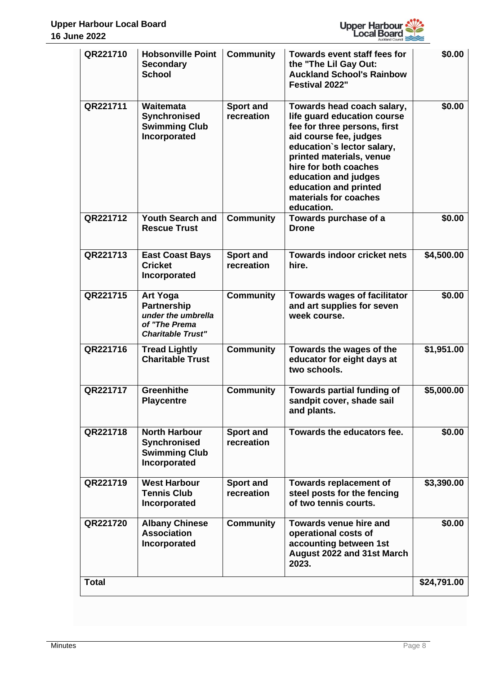

| QR221710     | <b>Hobsonville Point</b><br><b>Secondary</b><br><b>School</b>                                            | <b>Community</b>               | <b>Towards event staff fees for</b><br>the "The Lil Gay Out:<br><b>Auckland School's Rainbow</b><br>Festival 2022"                                                                                                                                                                             | \$0.00      |
|--------------|----------------------------------------------------------------------------------------------------------|--------------------------------|------------------------------------------------------------------------------------------------------------------------------------------------------------------------------------------------------------------------------------------------------------------------------------------------|-------------|
| QR221711     | Waitemata<br>Synchronised<br><b>Swimming Club</b><br>Incorporated                                        | <b>Sport and</b><br>recreation | Towards head coach salary,<br>life guard education course<br>fee for three persons, first<br>aid course fee, judges<br>education's lector salary,<br>printed materials, venue<br>hire for both coaches<br>education and judges<br>education and printed<br>materials for coaches<br>education. | \$0.00      |
| QR221712     | <b>Youth Search and</b><br><b>Rescue Trust</b>                                                           | <b>Community</b>               | Towards purchase of a<br><b>Drone</b>                                                                                                                                                                                                                                                          | \$0.00      |
| QR221713     | <b>East Coast Bays</b><br><b>Cricket</b><br>Incorporated                                                 | <b>Sport and</b><br>recreation | <b>Towards indoor cricket nets</b><br>hire.                                                                                                                                                                                                                                                    | \$4,500.00  |
| QR221715     | <b>Art Yoga</b><br><b>Partnership</b><br>under the umbrella<br>of "The Prema<br><b>Charitable Trust"</b> | <b>Community</b>               | <b>Towards wages of facilitator</b><br>and art supplies for seven<br>week course.                                                                                                                                                                                                              | \$0.00      |
| QR221716     | <b>Tread Lightly</b><br><b>Charitable Trust</b>                                                          | <b>Community</b>               | Towards the wages of the<br>educator for eight days at<br>two schools.                                                                                                                                                                                                                         | \$1,951.00  |
| QR221717     | <b>Greenhithe</b><br><b>Playcentre</b>                                                                   | <b>Community</b>               | <b>Towards partial funding of</b><br>sandpit cover, shade sail<br>and plants.                                                                                                                                                                                                                  | \$5,000.00  |
| QR221718     | <b>North Harbour</b><br><b>Synchronised</b><br><b>Swimming Club</b><br>Incorporated                      | <b>Sport and</b><br>recreation | Towards the educators fee.                                                                                                                                                                                                                                                                     | \$0.00      |
| QR221719     | <b>West Harbour</b><br><b>Tennis Club</b><br>Incorporated                                                | <b>Sport and</b><br>recreation | <b>Towards replacement of</b><br>steel posts for the fencing<br>of two tennis courts.                                                                                                                                                                                                          | \$3,390.00  |
| QR221720     | <b>Albany Chinese</b><br><b>Association</b><br>Incorporated                                              | <b>Community</b>               | <b>Towards venue hire and</b><br>operational costs of<br>accounting between 1st<br>August 2022 and 31st March<br>2023.                                                                                                                                                                         | \$0.00      |
| <b>Total</b> |                                                                                                          |                                |                                                                                                                                                                                                                                                                                                | \$24,791.00 |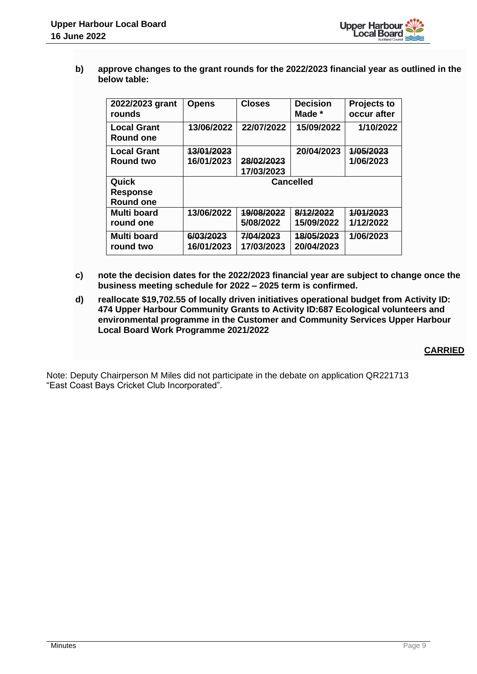

**b) approve changes to the grant rounds for the 2022/2023 financial year as outlined in the below table:**

| 2022/2023 grant<br>rounds       | <b>Opens</b>            | <b>Closes</b>           | <b>Decision</b><br>Made * | <b>Projects to</b><br>occur after |
|---------------------------------|-------------------------|-------------------------|---------------------------|-----------------------------------|
| <b>Local Grant</b><br>Round one | 13/06/2022              | 22/07/2022              | 15/09/2022                | 1/10/2022                         |
| <b>Local Grant</b>              | 13/01/2023              |                         | 20/04/2023                | 1/05/2023                         |
| <b>Round two</b>                | 16/01/2023              | 28/02/2023              |                           | 1/06/2023                         |
|                                 |                         | 17/03/2023              |                           |                                   |
| Quick                           |                         |                         |                           |                                   |
|                                 |                         |                         | <b>Cancelled</b>          |                                   |
| <b>Response</b>                 |                         |                         |                           |                                   |
| <b>Round one</b>                |                         |                         |                           |                                   |
| <b>Multi board</b>              | 13/06/2022              | 19/08/2022              | 8/12/2022                 | 1/01/2023                         |
| round one                       |                         | 5/08/2022               | 15/09/2022                | 1/12/2022                         |
| <b>Multi board</b><br>round two | 6/03/2023<br>16/01/2023 | 7/04/2023<br>17/03/2023 | 18/05/2023<br>20/04/2023  | 1/06/2023                         |

- **c) note the decision dates for the 2022/2023 financial year are subject to change once the business meeting schedule for 2022 – 2025 term is confirmed.**
- **d) reallocate \$19,702.55 of locally driven initiatives operational budget from Activity ID: 474 Upper Harbour Community Grants to Activity ID:687 Ecological volunteers and environmental programme in the Customer and Community Services Upper Harbour Local Board Work Programme 2021/2022**

**CARRIED**

Note: Deputy Chairperson M Miles did not participate in the debate on application QR221713 "East Coast Bays Cricket Club Incorporated".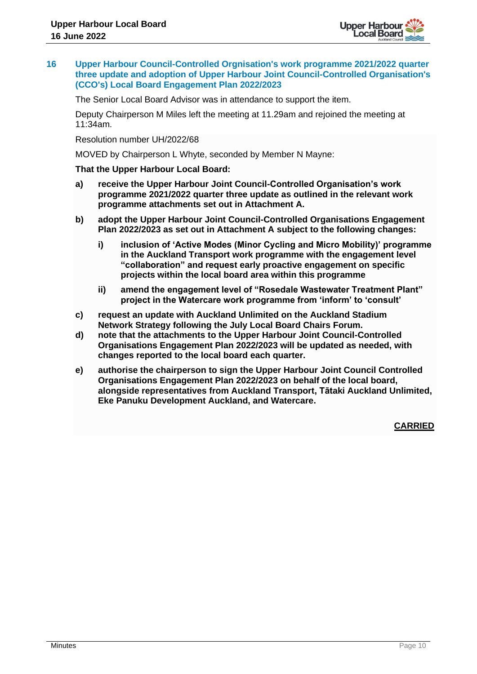

**16 Upper Harbour Council-Controlled Orgnisation's work programme 2021/2022 quarter three update and adoption of Upper Harbour Joint Council-Controlled Organisation's (CCO's) Local Board Engagement Plan 2022/2023**

The Senior Local Board Advisor was in attendance to support the item.

Deputy Chairperson M Miles left the meeting at 11.29am and rejoined the meeting at 11:34am.

Resolution number UH/2022/68

MOVED by Chairperson L Whyte, seconded by Member N Mayne:

**That the Upper Harbour Local Board:**

- **a) receive the Upper Harbour Joint Council-Controlled Organisation's work programme 2021/2022 quarter three update as outlined in the relevant work programme attachments set out in Attachment A.**
- **b) adopt the Upper Harbour Joint Council-Controlled Organisations Engagement Plan 2022/2023 as set out in Attachment A subject to the following changes:**
	- **i) inclusion of 'Active Modes (Minor Cycling and Micro Mobility)' programme in the Auckland Transport work programme with the engagement level "collaboration" and request early proactive engagement on specific projects within the local board area within this programme**
	- **ii) amend the engagement level of "Rosedale Wastewater Treatment Plant" project in the Watercare work programme from 'inform' to 'consult'**
- **c) request an update with Auckland Unlimited on the Auckland Stadium Network Strategy following the July Local Board Chairs Forum.**
- **d) note that the attachments to the Upper Harbour Joint Council-Controlled Organisations Engagement Plan 2022/2023 will be updated as needed, with changes reported to the local board each quarter.**
- **e) authorise the chairperson to sign the Upper Harbour Joint Council Controlled Organisations Engagement Plan 2022/2023 on behalf of the local board, alongside representatives from Auckland Transport, Tātaki Auckland Unlimited, Eke Panuku Development Auckland, and Watercare.**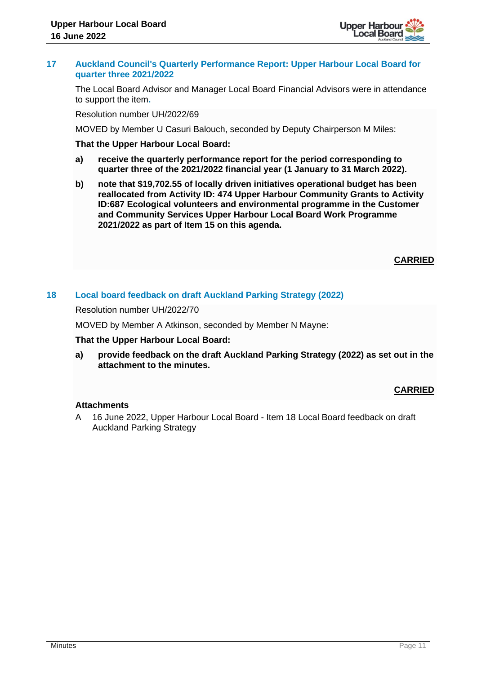

#### **17 Auckland Council's Quarterly Performance Report: Upper Harbour Local Board for quarter three 2021/2022**

The Local Board Advisor and Manager Local Board Financial Advisors were in attendance to support the item**.**

Resolution number UH/2022/69

MOVED by Member U Casuri Balouch, seconded by Deputy Chairperson M Miles:

#### **That the Upper Harbour Local Board:**

- **a) receive the quarterly performance report for the period corresponding to quarter three of the 2021/2022 financial year (1 January to 31 March 2022).**
- **b) note that \$19,702.55 of locally driven initiatives operational budget has been reallocated from Activity ID: 474 Upper Harbour Community Grants to Activity ID:687 Ecological volunteers and environmental programme in the Customer and Community Services Upper Harbour Local Board Work Programme 2021/2022 as part of Item 15 on this agenda.**

# **CARRIED**

# **18 Local board feedback on draft Auckland Parking Strategy (2022)**

Resolution number UH/2022/70

MOVED by Member A Atkinson, seconded by Member N Mayne:

#### **That the Upper Harbour Local Board:**

**a) provide feedback on the draft Auckland Parking Strategy (2022) as set out in the attachment to the minutes.**

#### **CARRIED**

#### **Attachments**

A 16 June 2022, Upper Harbour Local Board - Item 18 Local Board feedback on draft Auckland Parking Strategy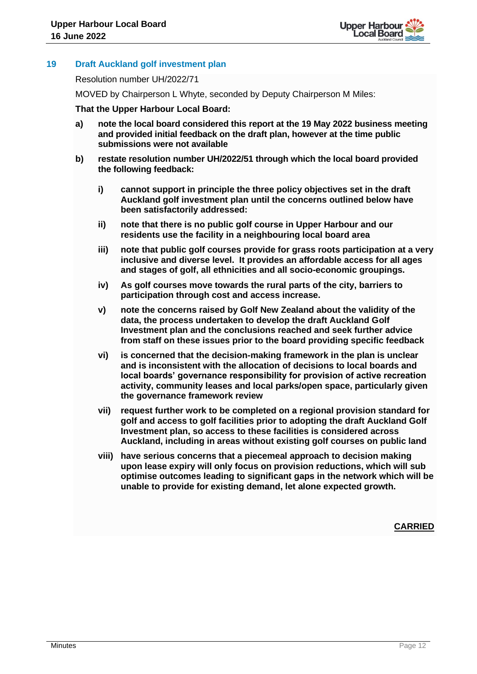

# **19 Draft Auckland golf investment plan**

Resolution number UH/2022/71

MOVED by Chairperson L Whyte, seconded by Deputy Chairperson M Miles:

#### **That the Upper Harbour Local Board:**

- **a) note the local board considered this report at the 19 May 2022 business meeting and provided initial feedback on the draft plan, however at the time public submissions were not available**
- **b) restate resolution number UH/2022/51 through which the local board provided the following feedback:** 
	- **i) cannot support in principle the three policy objectives set in the draft Auckland golf investment plan until the concerns outlined below have been satisfactorily addressed:**
	- **ii) note that there is no public golf course in Upper Harbour and our residents use the facility in a neighbouring local board area**
	- **iii) note that public golf courses provide for grass roots participation at a very inclusive and diverse level. It provides an affordable access for all ages and stages of golf, all ethnicities and all socio-economic groupings.**
	- **iv) As golf courses move towards the rural parts of the city, barriers to participation through cost and access increase.**
	- **v) note the concerns raised by Golf New Zealand about the validity of the data, the process undertaken to develop the draft Auckland Golf Investment plan and the conclusions reached and seek further advice from staff on these issues prior to the board providing specific feedback**
	- **vi) is concerned that the decision-making framework in the plan is unclear and is inconsistent with the allocation of decisions to local boards and local boards' governance responsibility for provision of active recreation activity, community leases and local parks/open space, particularly given the governance framework review**
	- **vii) request further work to be completed on a regional provision standard for golf and access to golf facilities prior to adopting the draft Auckland Golf Investment plan, so access to these facilities is considered across Auckland, including in areas without existing golf courses on public land**
	- **viii) have serious concerns that a piecemeal approach to decision making upon lease expiry will only focus on provision reductions, which will sub optimise outcomes leading to significant gaps in the network which will be unable to provide for existing demand, let alone expected growth.**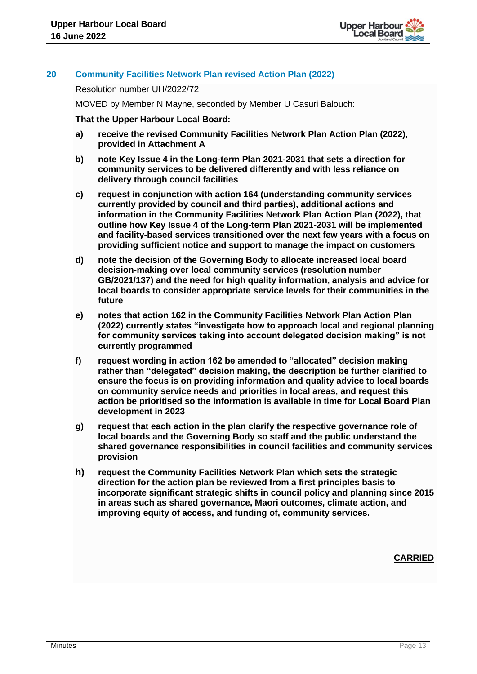

# **20 Community Facilities Network Plan revised Action Plan (2022)**

Resolution number UH/2022/72

MOVED by Member N Mayne, seconded by Member U Casuri Balouch:

**That the Upper Harbour Local Board:**

- **a) receive the revised Community Facilities Network Plan Action Plan (2022), provided in Attachment A**
- **b) note Key Issue 4 in the Long-term Plan 2021-2031 that sets a direction for community services to be delivered differently and with less reliance on delivery through council facilities**
- **c) request in conjunction with action 164 (understanding community services currently provided by council and third parties), additional actions and information in the Community Facilities Network Plan Action Plan (2022), that outline how Key Issue 4 of the Long-term Plan 2021-2031 will be implemented and facility-based services transitioned over the next few years with a focus on providing sufficient notice and support to manage the impact on customers**
- **d) note the decision of the Governing Body to allocate increased local board decision-making over local community services (resolution number GB/2021/137) and the need for high quality information, analysis and advice for local boards to consider appropriate service levels for their communities in the future**
- **e) notes that action 162 in the Community Facilities Network Plan Action Plan (2022) currently states "investigate how to approach local and regional planning for community services taking into account delegated decision making" is not currently programmed**
- **f) request wording in action 162 be amended to "allocated" decision making rather than "delegated" decision making, the description be further clarified to ensure the focus is on providing information and quality advice to local boards on community service needs and priorities in local areas, and request this action be prioritised so the information is available in time for Local Board Plan development in 2023**
- **g) request that each action in the plan clarify the respective governance role of local boards and the Governing Body so staff and the public understand the shared governance responsibilities in council facilities and community services provision**
- **h) request the Community Facilities Network Plan which sets the strategic direction for the action plan be reviewed from a first principles basis to incorporate significant strategic shifts in council policy and planning since 2015 in areas such as shared governance, Maori outcomes, climate action, and improving equity of access, and funding of, community services.**

 *CARRIED* **CARRIED**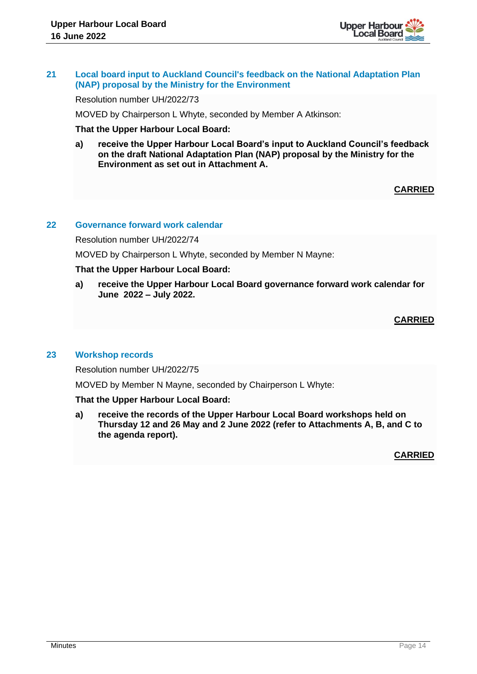

## **21 Local board input to Auckland Council's feedback on the National Adaptation Plan (NAP) proposal by the Ministry for the Environment**

Resolution number UH/2022/73

MOVED by Chairperson L Whyte, seconded by Member A Atkinson:

**That the Upper Harbour Local Board:**

**a) receive the Upper Harbour Local Board's input to Auckland Council's feedback on the draft National Adaptation Plan (NAP) proposal by the Ministry for the Environment as set out in Attachment A.** 

# **CARRIED**

## **22 Governance forward work calendar**

Resolution number UH/2022/74

MOVED by Chairperson L Whyte, seconded by Member N Mayne:

### **That the Upper Harbour Local Board:**

**a) receive the Upper Harbour Local Board governance forward work calendar for June 2022 – July 2022.**

# **CARRIED**

#### **23 Workshop records**

Resolution number UH/2022/75

MOVED by Member N Mayne, seconded by Chairperson L Whyte:

#### **That the Upper Harbour Local Board:**

**a) receive the records of the Upper Harbour Local Board workshops held on Thursday 12 and 26 May and 2 June 2022 (refer to Attachments A, B, and C to the agenda report).**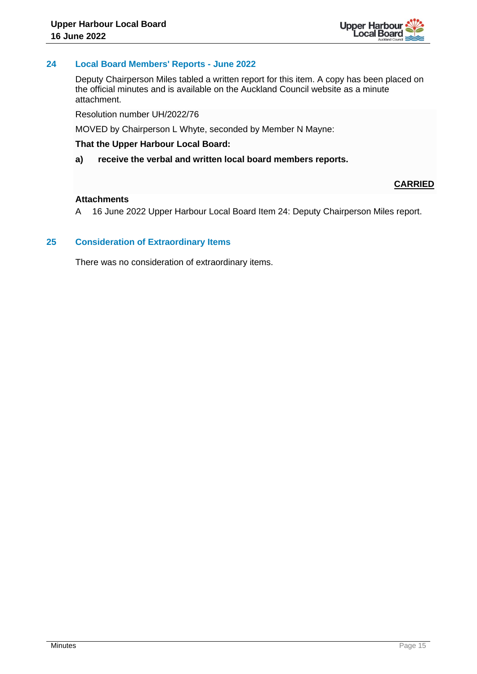

# **24 Local Board Members' Reports - June 2022**

Deputy Chairperson Miles tabled a written report for this item. A copy has been placed on the official minutes and is available on the Auckland Council website as a minute attachment.

Resolution number UH/2022/76

MOVED by Chairperson L Whyte, seconded by Member N Mayne:

#### **That the Upper Harbour Local Board:**

**a) receive the verbal and written local board members reports.**

# **CARRIED**

# **Attachments**

A 16 June 2022 Upper Harbour Local Board Item 24: Deputy Chairperson Miles report.

# **25 Consideration of Extraordinary Items**

There was no consideration of extraordinary items.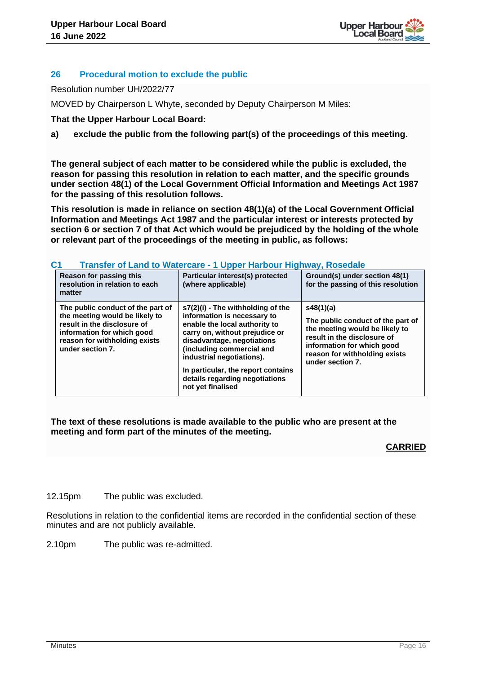

# **26 Procedural motion to exclude the public**

Resolution number UH/2022/77

MOVED by Chairperson L Whyte, seconded by Deputy Chairperson M Miles:

**That the Upper Harbour Local Board:**

# **a) exclude the public from the following part(s) of the proceedings of this meeting.**

**The general subject of each matter to be considered while the public is excluded, the reason for passing this resolution in relation to each matter, and the specific grounds under section 48(1) of the Local Government Official Information and Meetings Act 1987 for the passing of this resolution follows.**

**This resolution is made in reliance on section 48(1)(a) of the Local Government Official Information and Meetings Act 1987 and the particular interest or interests protected by section 6 or section 7 of that Act which would be prejudiced by the holding of the whole or relevant part of the proceedings of the meeting in public, as follows:**

| <u>v</u> l<br>Transier of Land to Watercare - I Opper Harbour Highway, Roseuale                                                                                                       |                                                                                                                                                                                                                                                                                                                          |                                                                                                                                                                                                    |  |  |  |
|---------------------------------------------------------------------------------------------------------------------------------------------------------------------------------------|--------------------------------------------------------------------------------------------------------------------------------------------------------------------------------------------------------------------------------------------------------------------------------------------------------------------------|----------------------------------------------------------------------------------------------------------------------------------------------------------------------------------------------------|--|--|--|
| Reason for passing this<br>resolution in relation to each<br>matter                                                                                                                   | Particular interest(s) protected<br>(where applicable)                                                                                                                                                                                                                                                                   | Ground(s) under section 48(1)<br>for the passing of this resolution                                                                                                                                |  |  |  |
| The public conduct of the part of<br>the meeting would be likely to<br>result in the disclosure of<br>information for which good<br>reason for withholding exists<br>under section 7. | s7(2)(i) - The withholding of the<br>information is necessary to<br>enable the local authority to<br>carry on, without prejudice or<br>disadvantage, negotiations<br>(including commercial and<br>industrial negotiations).<br>In particular, the report contains<br>details regarding negotiations<br>not yet finalised | s48(1)(a)<br>The public conduct of the part of<br>the meeting would be likely to<br>result in the disclosure of<br>information for which good<br>reason for withholding exists<br>under section 7. |  |  |  |

# **C1 Transfer of Land to Watercare - 1 Upper Harbour Highway, Rosedale**

# **The text of these resolutions is made available to the public who are present at the meeting and form part of the minutes of the meeting.**

# **CARRIED**

12.15pm The public was excluded.

Resolutions in relation to the confidential items are recorded in the confidential section of these minutes and are not publicly available.

2.10pm The public was re-admitted.